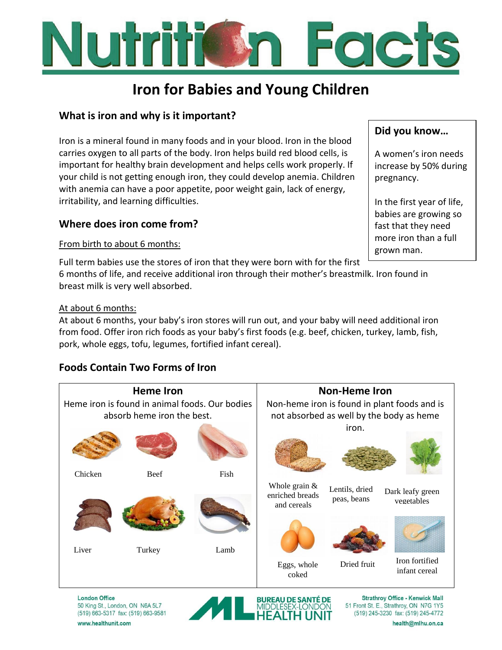# Folch

# **Iron for Babies and Young Children**

# **What is iron and why is it important?**

Iron is a mineral found in many foods and in your blood. Iron in the blood carries oxygen to all parts of the body. Iron helps build red blood cells, is important for healthy brain development and helps cells work properly. If your child is not getting enough iron, they could develop anemia. Children with anemia can have a poor appetite, poor weight gain, lack of energy, irritability, and learning difficulties.

# **Where does iron come from?**

#### From birth to about 6 months:

Full term babies use the stores of iron that they were born with for the first 6 months of life, and receive additional iron through their mother's breastmilk. Iron found in breast milk is very well absorbed.

#### At about 6 months:

At about 6 months, your baby's iron stores will run out, and your baby will need additional iron from food. Offer iron rich foods as your baby's first foods (e.g. beef, chicken, turkey, lamb, fish, pork, whole eggs, tofu, legumes, fortified infant cereal).

# **Foods Contain Two Forms of Iron**



**London Office** 50 King St., London, ON N6A 5L7 (519) 663-5317 fax: (519) 663-9581



**Strathroy Office - Kenwick Mall** 51 Front St. E., Strathroy, ON N7G 1Y5 (519) 245-3230 fax: (519) 245-4772

**Did you know…**

A women's iron needs increase by 50% during pregnancy.

In the first year of life, babies are growing so fast that they need more iron than a full grown man.

www.healthunit.com

health@mlhu.on.ca